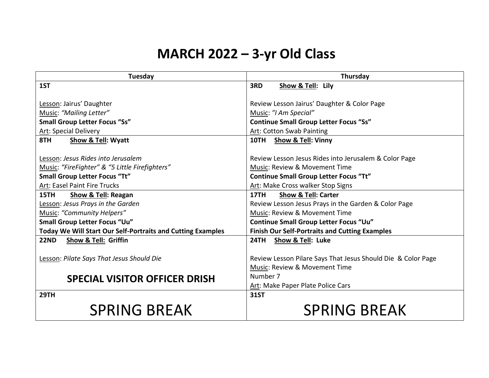## **MARCH 2022 – 3-yr Old Class**

| <b>Tuesday</b>                                                     | Thursday                                                     |
|--------------------------------------------------------------------|--------------------------------------------------------------|
| 1ST                                                                | 3RD<br>Show & Tell: Lily                                     |
|                                                                    |                                                              |
| Lesson: Jairus' Daughter                                           | Review Lesson Jairus' Daughter & Color Page                  |
| Music: "Mailing Letter"                                            | Music: "I Am Special"                                        |
| <b>Small Group Letter Focus "Ss"</b>                               | <b>Continue Small Group Letter Focus "Ss"</b>                |
| <b>Art: Special Delivery</b>                                       | Art: Cotton Swab Painting                                    |
| 8TH<br>Show & Tell: Wyatt                                          | 10TH Show & Tell: Vinny                                      |
|                                                                    |                                                              |
| Lesson: Jesus Rides into Jerusalem                                 | Review Lesson Jesus Rides into Jerusalem & Color Page        |
| Music: "FireFighter" & "5 Little Firefighters"                     | Music: Review & Movement Time                                |
| <b>Small Group Letter Focus "Tt"</b>                               | <b>Continue Small Group Letter Focus "Tt"</b>                |
| Art: Easel Paint Fire Trucks                                       | Art: Make Cross walker Stop Signs                            |
| 15TH<br><b>Show &amp; Tell: Reagan</b>                             | <b>Show &amp; Tell: Carter</b><br><b>17TH</b>                |
| Lesson: Jesus Prays in the Garden                                  | Review Lesson Jesus Prays in the Garden & Color Page         |
| <b>Music: "Community Helpers"</b>                                  | Music: Review & Movement Time                                |
| Small Group Letter Focus "Uu"                                      | <b>Continue Small Group Letter Focus "Uu"</b>                |
| <b>Today We Will Start Our Self-Portraits and Cutting Examples</b> | <b>Finish Our Self-Portraits and Cutting Examples</b>        |
| <b>22ND</b><br><b>Show &amp; Tell: Griffin</b>                     | <b>24TH</b><br>Show & Tell: Luke                             |
|                                                                    |                                                              |
| Lesson: Pilate Says That Jesus Should Die                          | Review Lesson Pilare Says That Jesus Should Die & Color Page |
|                                                                    | Music: Review & Movement Time                                |
| <b>SPECIAL VISITOR OFFICER DRISH</b>                               | Number 7                                                     |
|                                                                    | Art: Make Paper Plate Police Cars                            |
| <b>29TH</b>                                                        | <b>31ST</b>                                                  |
| <b>SPRING BREAK</b>                                                | <b>SPRING BREAK</b>                                          |
|                                                                    |                                                              |